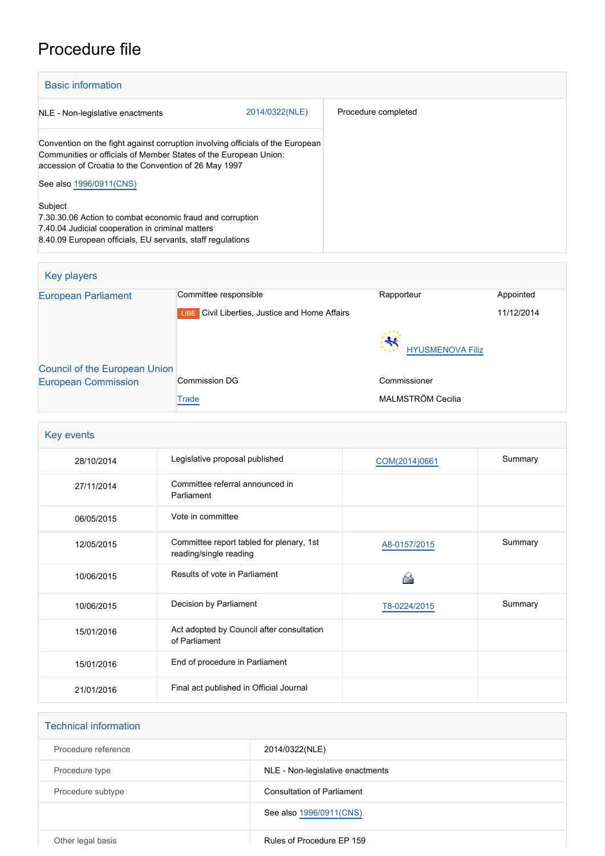# Procedure file

| <b>Basic information</b>                                                                                                                                                                                          |                |                     |
|-------------------------------------------------------------------------------------------------------------------------------------------------------------------------------------------------------------------|----------------|---------------------|
| NLE - Non-legislative enactments                                                                                                                                                                                  | 2014/0322(NLE) | Procedure completed |
| Convention on the fight against corruption involving officials of the European<br>Communities or officials of Member States of the European Union:<br>accession of Croatia to the Convention of 26 May 1997       |                |                     |
| See also 1996/0911(CNS)<br>Subject<br>7.30.30.06 Action to combat economic fraud and corruption<br>7.40.04 Judicial cooperation in criminal matters<br>8.40.09 European officials, EU servants, staff regulations |                |                     |

| Key players                          |                                                          |                                   |            |
|--------------------------------------|----------------------------------------------------------|-----------------------------------|------------|
| <b>European Parliament</b>           | Committee responsible                                    | Rapporteur                        | Appointed  |
|                                      | Civil Liberties, Justice and Home Affairs<br><b>LIBE</b> |                                   | 11/12/2014 |
|                                      |                                                          | $\ast$<br><b>HYUSMENOVA Filiz</b> |            |
| <b>Council of the European Union</b> |                                                          |                                   |            |
| <b>European Commission</b>           | <b>Commission DG</b>                                     | Commissioner                      |            |
|                                      | Trade                                                    | MALMSTRÖM Cecilia                 |            |

| Key events |                                                                    |               |         |
|------------|--------------------------------------------------------------------|---------------|---------|
| 28/10/2014 | Legislative proposal published                                     | COM(2014)0661 | Summary |
| 27/11/2014 | Committee referral announced in<br>Parliament                      |               |         |
| 06/05/2015 | Vote in committee                                                  |               |         |
| 12/05/2015 | Committee report tabled for plenary, 1st<br>reading/single reading | A8-0157/2015  | Summary |
| 10/06/2015 | Results of vote in Parliament                                      |               |         |
| 10/06/2015 | Decision by Parliament                                             | T8-0224/2015  | Summary |
| 15/01/2016 | Act adopted by Council after consultation<br>of Parliament         |               |         |
| 15/01/2016 | End of procedure in Parliament                                     |               |         |
| 21/01/2016 | Final act published in Official Journal                            |               |         |

| <b>Technical information</b> |                                   |
|------------------------------|-----------------------------------|
| Procedure reference          | 2014/0322(NLE)                    |
| Procedure type               | NLE - Non-legislative enactments  |
| Procedure subtype            | <b>Consultation of Parliament</b> |
|                              | See also 1996/0911(CNS)           |
| Other legal basis            | Rules of Procedure EP 159         |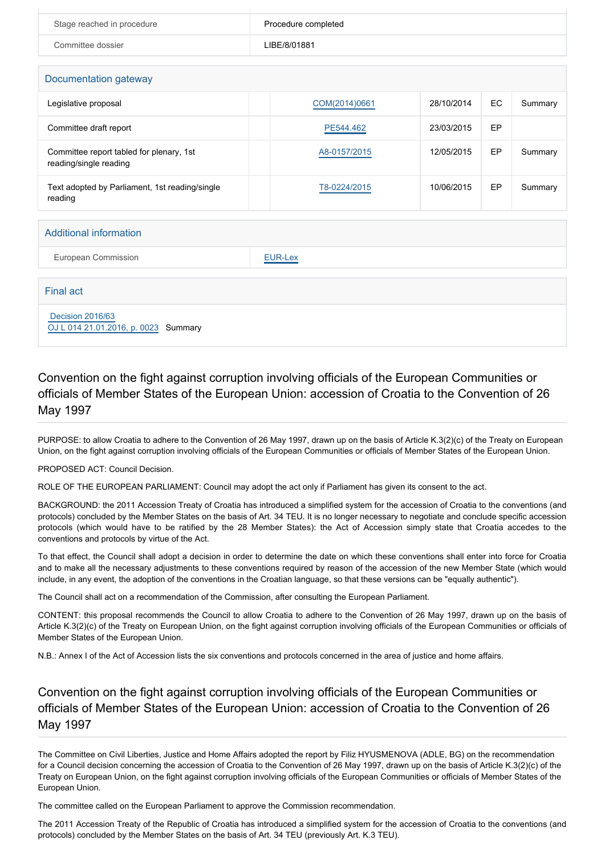| Stage reached in procedure | Procedure completed |
|----------------------------|---------------------|
| Committee dossier          | LIBE/8/01881        |

| Documentation gateway                                              |               |            |    |         |
|--------------------------------------------------------------------|---------------|------------|----|---------|
| Legislative proposal                                               | COM(2014)0661 | 28/10/2014 | EC | Summary |
| Committee draft report                                             | PE544.462     | 23/03/2015 | EP |         |
| Committee report tabled for plenary, 1st<br>reading/single reading | A8-0157/2015  | 12/05/2015 | EP | Summary |
| Text adopted by Parliament, 1st reading/single<br>reading          | T8-0224/2015  | 10/06/2015 | EP | Summary |

#### Additional information

European Commission **[EUR-Lex](http://ec.europa.eu/prelex/liste_resultats.cfm?CL=en&ReqId=0&DocType=NLE&DocYear=2014&DocNum=0322)** 

Final act

## [Decision 2016/63](https://eur-lex.europa.eu/smartapi/cgi/sga_doc?smartapi!celexplus!prod!CELEXnumdoc&lg=EN&numdoc=32016D0063) [OJ L 014 21.01.2016, p. 0023](https://eur-lex.europa.eu/legal-content/EN/TXT/?uri=OJ:L:2016:014:TOC) Summary

### Convention on the fight against corruption involving officials of the European Communities or officials of Member States of the European Union: accession of Croatia to the Convention of 26 May 1997

PURPOSE: to allow Croatia to adhere to the Convention of 26 May 1997, drawn up on the basis of Article K.3(2)(c) of the Treaty on European Union, on the fight against corruption involving officials of the European Communities or officials of Member States of the European Union.

PROPOSED ACT: Council Decision.

ROLE OF THE EUROPEAN PARLIAMENT: Council may adopt the act only if Parliament has given its consent to the act.

BACKGROUND: the 2011 Accession Treaty of Croatia has introduced a simplified system for the accession of Croatia to the conventions (and protocols) concluded by the Member States on the basis of Art. 34 TEU. It is no longer necessary to negotiate and conclude specific accession protocols (which would have to be ratified by the 28 Member States): the Act of Accession simply state that Croatia accedes to the conventions and protocols by virtue of the Act.

To that effect, the Council shall adopt a decision in order to determine the date on which these conventions shall enter into force for Croatia and to make all the necessary adjustments to these conventions required by reason of the accession of the new Member State (which would include, in any event, the adoption of the conventions in the Croatian language, so that these versions can be "equally authentic").

The Council shall act on a recommendation of the Commission, after consulting the European Parliament.

CONTENT: this proposal recommends the Council to allow Croatia to adhere to the Convention of 26 May 1997, drawn up on the basis of Article K.3(2)(c) of the Treaty on European Union, on the fight against corruption involving officials of the European Communities or officials of Member States of the European Union.

N.B.: Annex I of the Act of Accession lists the six conventions and protocols concerned in the area of justice and home affairs.

#### Convention on the fight against corruption involving officials of the European Communities or officials of Member States of the European Union: accession of Croatia to the Convention of 26 May 1997

The Committee on Civil Liberties, Justice and Home Affairs adopted the report by Filiz HYUSMENOVA (ADLE, BG) on the recommendation for a Council decision concerning the accession of Croatia to the Convention of 26 May 1997, drawn up on the basis of Article K.3(2)(c) of the Treaty on European Union, on the fight against corruption involving officials of the European Communities or officials of Member States of the European Union.

The committee called on the European Parliament to approve the Commission recommendation.

The 2011 Accession Treaty of the Republic of Croatia has introduced a simplified system for the accession of Croatia to the conventions (and protocols) concluded by the Member States on the basis of Art. 34 TEU (previously Art. K.3 TEU).